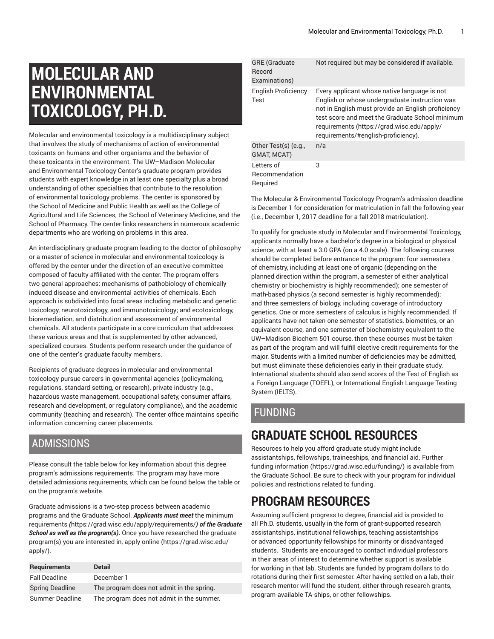# **MOLECULAR AND ENVIRONMENTAL TOXICOLOGY, PH.D.**

Molecular and environmental toxicology is a multidisciplinary subject that involves the study of mechanisms of action of environmental toxicants on humans and other organisms and the behavior of these toxicants in the environment. The UW–Madison Molecular and Environmental Toxicology Center's graduate program provides students with expert knowledge in at least one specialty plus a broad understanding of other specialties that contribute to the resolution of environmental toxicology problems. The center is sponsored by the School of Medicine and Public Health as well as the College of Agricultural and Life Sciences, the School of Veterinary Medicine, and the School of Pharmacy. The center links researchers in numerous academic departments who are working on problems in this area.

An interdisciplinary graduate program leading to the doctor of philosophy or a master of science in molecular and environmental toxicology is offered by the center under the direction of an executive committee composed of faculty affiliated with the center. The program offers two general approaches: mechanisms of pathobiology of chemically induced disease and environmental activities of chemicals. Each approach is subdivided into focal areas including metabolic and genetic toxicology, neurotoxicology, and immunotoxicology; and ecotoxicology, bioremediation, and distribution and assessment of environmental chemicals. All students participate in a core curriculum that addresses these various areas and that is supplemented by other advanced, specialized courses. Students perform research under the guidance of one of the center's graduate faculty members.

Recipients of graduate degrees in molecular and environmental toxicology pursue careers in governmental agencies (policymaking, regulations, standard setting, or research), private industry (e.g., hazardous waste management, occupational safety, consumer affairs, research and development, or regulatory compliance), and the academic community (teaching and research). The center office maintains specific information concerning career placements.

### ADMISSIONS

Please consult the table below for key information about this degree program's admissions requirements. The program may have more detailed admissions requirements, which can be found below the table or on the program's website.

Graduate admissions is a two-step process between academic programs and the Graduate School. *Applicants must meet* [the minimum](https://grad.wisc.edu/apply/requirements/) [requirements](https://grad.wisc.edu/apply/requirements/) *(*<https://grad.wisc.edu/apply/requirements/>*) of the Graduate School as well as the program(s).* Once you have researched the graduate program(s) you are interested in, [apply online \(https://grad.wisc.edu/](https://grad.wisc.edu/apply/) [apply/\)](https://grad.wisc.edu/apply/).

| <b>Requirements</b>    | <b>Detail</b>                             |
|------------------------|-------------------------------------------|
| <b>Fall Deadline</b>   | December 1                                |
| <b>Spring Deadline</b> | The program does not admit in the spring. |
| Summer Deadline        | The program does not admit in the summer. |

| <b>GRE</b> (Graduate<br>Record<br>Examinations) | Not required but may be considered if available.                                                                                                                                                                                                                                             |
|-------------------------------------------------|----------------------------------------------------------------------------------------------------------------------------------------------------------------------------------------------------------------------------------------------------------------------------------------------|
| English Proficiency<br>Test                     | Every applicant whose native language is not<br>English or whose undergraduate instruction was<br>not in English must provide an English proficiency<br>test score and meet the Graduate School minimum<br>requirements (https://grad.wisc.edu/apply/<br>requirements/#english-proficiency). |
| Other Test(s) (e.g.,<br>GMAT, MCAT)             | n/a                                                                                                                                                                                                                                                                                          |
| Letters of<br>Recommendation<br>Reauired        | 3                                                                                                                                                                                                                                                                                            |

The Molecular & Environmental Toxicology Program's admission deadline is December 1 for consideration for matriculation in fall the following year (i.e., December 1, 2017 deadline for a fall 2018 matriculation).

To qualify for graduate study in Molecular and Environmental Toxicology, applicants normally have a bachelor's degree in a biological or physical science, with at least a 3.0 GPA (on a 4.0 scale). The following courses should be completed before entrance to the program: four semesters of chemistry, including at least one of organic (depending on the planned direction within the program, a semester of either analytical chemistry or biochemistry is highly recommended); one semester of math-based physics (a second semester is highly recommended); and three semesters of biology, including coverage of introductory genetics. One or more semesters of calculus is highly recommended. If applicants have not taken one semester of statistics, biometrics, or an equivalent course, and one semester of biochemistry equivalent to the UW–Madison Biochem 501 course, then these courses must be taken as part of the program and will fulfill elective credit requirements for the major. Students with a limited number of deficiencies may be admitted, but must eliminate these deficiencies early in their graduate study. International students should also send scores of the Test of English as a Foreign Language (TOEFL), or International English Language Testing System (IELTS).

## FUNDING

## **GRADUATE SCHOOL RESOURCES**

Resources to help you afford graduate study might include assistantships, fellowships, traineeships, and financial aid. [Further](https://grad.wisc.edu/funding/) [funding information \(https://grad.wisc.edu/funding/](https://grad.wisc.edu/funding/)) is available from the Graduate School. Be sure to check with your program for individual policies and restrictions related to funding.

## **PROGRAM RESOURCES**

Assuming sufficient progress to degree, financial aid is provided to all Ph.D. students, usually in the form of grant-supported research assistantships, institutional fellowships, teaching assistantships or advanced opportunity fellowships for minority or disadvantaged students. Students are encouraged to contact individual professors in their areas of interest to determine whether support is available for working in that lab. Students are funded by program dollars to do rotations during their first semester. After having settled on a lab, their research mentor will fund the student, either through research grants, program-available TA-ships, or other fellowships.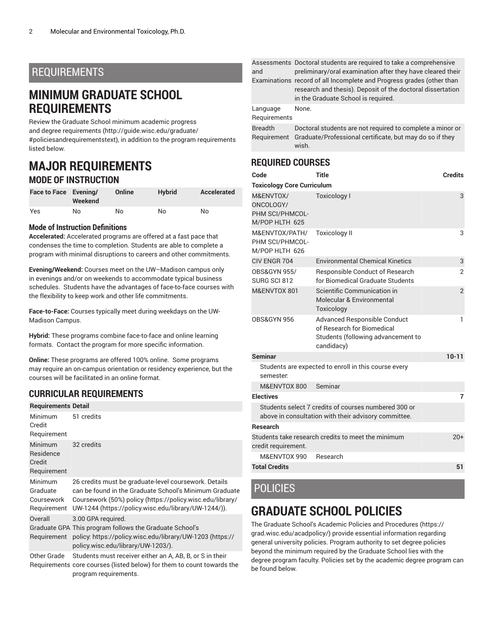### REQUIREMENTS

## **MINIMUM GRADUATE SCHOOL REQUIREMENTS**

Review the Graduate School minimum [academic](http://guide.wisc.edu/graduate/#policiesandrequirementstext) progress and degree [requirements](http://guide.wisc.edu/graduate/#policiesandrequirementstext) [\(http://guide.wisc.edu/graduate/](http://guide.wisc.edu/graduate/#policiesandrequirementstext) [#policiesandrequirementstext\)](http://guide.wisc.edu/graduate/#policiesandrequirementstext), in addition to the program requirements listed below.

## **MAJOR REQUIREMENTS MODE OF INSTRUCTION**

| Face to Face Evening/ | Weekend | Online | <b>Hybrid</b> | Accelerated |
|-----------------------|---------|--------|---------------|-------------|
| Yes                   | No.     | No     | No            | No          |

#### **Mode of Instruction Definitions**

**Accelerated:** Accelerated programs are offered at a fast pace that condenses the time to completion. Students are able to complete a program with minimal disruptions to careers and other commitments.

**Evening/Weekend:** Courses meet on the UW–Madison campus only in evenings and/or on weekends to accommodate typical business schedules. Students have the advantages of face-to-face courses with the flexibility to keep work and other life commitments.

**Face-to-Face:** Courses typically meet during weekdays on the UW-Madison Campus.

**Hybrid:** These programs combine face-to-face and online learning formats. Contact the program for more specific information.

**Online:** These programs are offered 100% online. Some programs may require an on-campus orientation or residency experience, but the courses will be facilitated in an online format.

### **CURRICULAR REQUIREMENTS**

| <b>Requirements Detail</b>                           |                                                                                                                                                                                                                                      |
|------------------------------------------------------|--------------------------------------------------------------------------------------------------------------------------------------------------------------------------------------------------------------------------------------|
| Minimum<br>Credit<br>Requirement                     | 51 credits                                                                                                                                                                                                                           |
| <b>Minimum</b><br>Residence<br>Credit<br>Requirement | 32 credits                                                                                                                                                                                                                           |
| Minimum<br>Graduate<br>Coursework<br>Requirement     | 26 credits must be graduate-level coursework. Details<br>can be found in the Graduate School's Minimum Graduate<br>Coursework (50%) policy (https://policy.wisc.edu/library/<br>UW-1244 (https://policy.wisc.edu/library/UW-1244/)). |
| Overall<br>Requirement                               | 3.00 GPA required.<br>Graduate GPA This program follows the Graduate School's<br>policy. https://policy.wisc.edu/library/UW-1203 (https://<br>policy.wisc.edu/library/UW-1203/).                                                     |
|                                                      |                                                                                                                                                                                                                                      |

Other Grade Students must receiver either an A, AB, B, or S in their Requirements core courses (listed below) for them to count towards the program requirements.

|  | and                           | Assessments Doctoral students are required to take a comprehensive<br>preliminary/oral examination after they have cleared their<br>Examinations record of all Incomplete and Progress grades (other than<br>research and thesis). Deposit of the doctoral dissertation<br>in the Graduate School is required. |
|--|-------------------------------|----------------------------------------------------------------------------------------------------------------------------------------------------------------------------------------------------------------------------------------------------------------------------------------------------------------|
|  | Language<br>Requirements      | None.                                                                                                                                                                                                                                                                                                          |
|  | <b>Breadth</b><br>Requirement | Doctoral students are not required to complete a minor or<br>Graduate/Professional certificate, but may do so if they<br>wish.                                                                                                                                                                                 |

### **REQUIRED COURSES**

| Code                                                                        | <b>Title</b>                                                                                                          | <b>Credits</b> |  |  |
|-----------------------------------------------------------------------------|-----------------------------------------------------------------------------------------------------------------------|----------------|--|--|
| <b>Toxicology Core Curriculum</b>                                           |                                                                                                                       |                |  |  |
| M&ENVTOX/<br>ONCOLOGY/<br>PHM SCI/PHMCOL-<br>M/POP HLTH 625                 | <b>Toxicology I</b>                                                                                                   | 3              |  |  |
| M&ENVTOX/PATH/<br><b>Toxicology II</b><br>PHM SCI/PHMCOL-<br>M/POP HLTH 626 |                                                                                                                       | 3              |  |  |
| CIV FNGR 704                                                                | <b>Environmental Chemical Kinetics</b>                                                                                | 3              |  |  |
| <b>OBS&amp;GYN 955/</b><br>SURG SCI 812                                     | Responsible Conduct of Research<br>for Biomedical Graduate Students                                                   | $\overline{2}$ |  |  |
| M&ENVTOX 801                                                                | Scientific Communication in<br>Molecular & Environmental<br>Toxicology                                                | $\overline{2}$ |  |  |
| OBS&GYN 956                                                                 | <b>Advanced Responsible Conduct</b><br>of Research for Biomedical<br>Students (following advancement to<br>candidacy) | 1              |  |  |
| <b>Seminar</b>                                                              |                                                                                                                       | $10 - 11$      |  |  |
| Students are expected to enroll in this course every<br>semester:           |                                                                                                                       |                |  |  |
| M&ENVTOX 800                                                                | Seminar                                                                                                               |                |  |  |
| <b>Electives</b>                                                            |                                                                                                                       | 7              |  |  |
|                                                                             | Students select 7 credits of courses numbered 300 or<br>above in consultation with their advisory committee.          |                |  |  |
| <b>Research</b>                                                             |                                                                                                                       |                |  |  |
| credit requirement.                                                         | Students take research credits to meet the minimum                                                                    | $20+$          |  |  |
| M&ENVTOX 990                                                                | Research                                                                                                              |                |  |  |
| <b>Total Credits</b>                                                        |                                                                                                                       | 51             |  |  |

### POLICIES

## **GRADUATE SCHOOL POLICIES**

The Graduate School's Academic Policies and [Procedures \(https://](https://grad.wisc.edu/acadpolicy/) [grad.wisc.edu/acadpolicy/](https://grad.wisc.edu/acadpolicy/)) provide essential information regarding general university policies. Program authority to set degree policies beyond the minimum required by the Graduate School lies with the degree program faculty. Policies set by the academic degree program can be found below.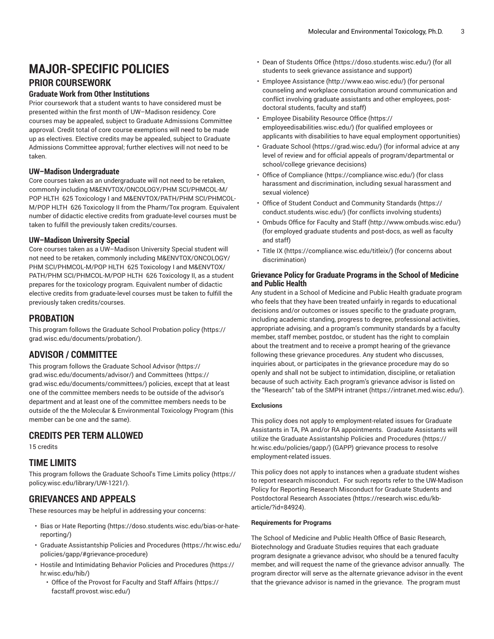# **MAJOR-SPECIFIC POLICIES**

## **PRIOR COURSEWORK**

#### **Graduate Work from Other Institutions**

Prior coursework that a student wants to have considered must be presented within the first month of UW–Madison residency. Core courses may be appealed, subject to Graduate Admissions Committee approval. Credit total of core course exemptions will need to be made up as electives. Elective credits may be appealed, subject to Graduate Admissions Committee approval; further electives will not need to be taken.

#### **UW–Madison Undergraduate**

Core courses taken as an undergraduate will not need to be retaken, commonly including M&ENVTOX/ONCOLOGY/PHM SCI/PHMCOL-M/ POP HLTH 625 Toxicology I and M&ENVTOX/PATH/PHM SCI/PHMCOL-M/POP HLTH 626 Toxicology II from the Pharm/Tox program. Equivalent number of didactic elective credits from graduate-level courses must be taken to fulfill the previously taken credits/courses.

#### **UW–Madison University Special**

Core courses taken as a UW–Madison University Special student will not need to be retaken, commonly including M&ENVTOX/ONCOLOGY/ PHM SCI/PHMCOL-M/POP HLTH 625 Toxicology I and M&ENVTOX/ PATH/PHM SCI/PHMCOL-M/POP HLTH 626 Toxicology II, as a student prepares for the toxicology program. Equivalent number of didactic elective credits from graduate-level courses must be taken to fulfill the previously taken credits/courses.

#### **PROBATION**

This program follows the Graduate School [Probation](https://grad.wisc.edu/documents/probation/) policy [\(https://](https://grad.wisc.edu/documents/probation/) [grad.wisc.edu/documents/probation/](https://grad.wisc.edu/documents/probation/)).

#### **ADVISOR / COMMITTEE**

This program follows the Graduate School [Advisor](https://grad.wisc.edu/documents/advisor/) [\(https://](https://grad.wisc.edu/documents/advisor/) [grad.wisc.edu/documents/advisor/](https://grad.wisc.edu/documents/advisor/)) and [Committees](https://grad.wisc.edu/documents/committees/) ([https://](https://grad.wisc.edu/documents/committees/) [grad.wisc.edu/documents/committees/\)](https://grad.wisc.edu/documents/committees/) policies, except that at least one of the committee members needs to be outside of the advisor's department and at least one of the committee members needs to be outside of the the Molecular & Environmental Toxicology Program (this member can be one and the same).

#### **CREDITS PER TERM ALLOWED**

15 credits

#### **TIME LIMITS**

This program follows the [Graduate School's Time Limits policy](https://policy.wisc.edu/library/UW-1221/) ([https://](https://policy.wisc.edu/library/UW-1221/) [policy.wisc.edu/library/UW-1221/\)](https://policy.wisc.edu/library/UW-1221/).

### **GRIEVANCES AND APPEALS**

These resources may be helpful in addressing your concerns:

- Bias or Hate [Reporting](https://doso.students.wisc.edu/bias-or-hate-reporting/) ([https://doso.students.wisc.edu/bias-or-hate](https://doso.students.wisc.edu/bias-or-hate-reporting/)[reporting/\)](https://doso.students.wisc.edu/bias-or-hate-reporting/)
- Graduate [Assistantship](https://hr.wisc.edu/policies/gapp/#grievance-procedure) Policies and Procedures ([https://hr.wisc.edu/](https://hr.wisc.edu/policies/gapp/#grievance-procedure) [policies/gapp/#grievance-procedure\)](https://hr.wisc.edu/policies/gapp/#grievance-procedure)
- Hostile and [Intimidating](https://hr.wisc.edu/hib/) Behavior Policies and Procedures [\(https://](https://hr.wisc.edu/hib/) [hr.wisc.edu/hib/](https://hr.wisc.edu/hib/))
	- Office of the [Provost](https://facstaff.provost.wisc.edu/) for Faculty and Staff Affairs ([https://](https://facstaff.provost.wisc.edu/) [facstaff.provost.wisc.edu/\)](https://facstaff.provost.wisc.edu/)
- [Dean of Students Office \(https://doso.students.wisc.edu/\)](https://doso.students.wisc.edu/) (for all students to seek grievance assistance and support)
- Employee [Assistance](http://www.eao.wisc.edu/) [\(http://www.eao.wisc.edu/\)](http://www.eao.wisc.edu/) (for personal counseling and workplace consultation around communication and conflict involving graduate assistants and other employees, postdoctoral students, faculty and staff)
- [Employee](https://employeedisabilities.wisc.edu/) Disability Resource Office [\(https://](https://employeedisabilities.wisc.edu/) [employeedisabilities.wisc.edu/](https://employeedisabilities.wisc.edu/)) (for qualified employees or applicants with disabilities to have equal employment opportunities)
- [Graduate School](https://grad.wisc.edu/) ([https://grad.wisc.edu/\)](https://grad.wisc.edu/) (for informal advice at any level of review and for official appeals of program/departmental or school/college grievance decisions)
- [Office of Compliance](https://compliance.wisc.edu/) ([https://compliance.wisc.edu/\)](https://compliance.wisc.edu/) (for class harassment and discrimination, including sexual harassment and sexual violence)
- Office of Student Conduct and [Community](https://conduct.students.wisc.edu/) Standards ([https://](https://conduct.students.wisc.edu/) [conduct.students.wisc.edu/](https://conduct.students.wisc.edu/)) (for conflicts involving students)
- [Ombuds](http://www.ombuds.wisc.edu/) Office for Faculty and Staff ([http://www.ombuds.wisc.edu/\)](http://www.ombuds.wisc.edu/) (for employed graduate students and post-docs, as well as faculty and staff)
- [Title](https://compliance.wisc.edu/titleix/) IX [\(https://compliance.wisc.edu/titleix/\)](https://compliance.wisc.edu/titleix/) (for concerns about discrimination)

#### **Grievance Policy for Graduate Programs in the School of Medicine and Public Health**

Any student in a School of Medicine and Public Health graduate program who feels that they have been treated unfairly in regards to educational decisions and/or outcomes or issues specific to the graduate program, including academic standing, progress to degree, professional activities, appropriate advising, and a program's community standards by a faculty member, staff member, postdoc, or student has the right to complain about the treatment and to receive a prompt hearing of the grievance following these grievance procedures. Any student who discusses, inquiries about, or participates in the grievance procedure may do so openly and shall not be subject to intimidation, discipline, or retaliation because of such activity. Each program's grievance advisor is listed on the "Research" tab of the SMPH [intranet \(https://intranet.med.wisc.edu/](https://intranet.med.wisc.edu/)).

#### **Exclusions**

This policy does not apply to employment-related issues for Graduate Assistants in TA, PA and/or RA appointments. Graduate Assistants will utilize the Graduate [Assistantship](https://hr.wisc.edu/policies/gapp/) Policies and Procedures [\(https://](https://hr.wisc.edu/policies/gapp/) [hr.wisc.edu/policies/gapp/\)](https://hr.wisc.edu/policies/gapp/) (GAPP) grievance process to resolve employment-related issues.

This policy does not apply to instances when a graduate student wishes to report research misconduct. For such reports refer to the [UW-Madison](https://research.wisc.edu/kb-article/?id=84924) Policy for Reporting Research [Misconduct](https://research.wisc.edu/kb-article/?id=84924) for Graduate Students and [Postdoctoral](https://research.wisc.edu/kb-article/?id=84924) Research Associates ([https://research.wisc.edu/kb](https://research.wisc.edu/kb-article/?id=84924)[article/?id=84924](https://research.wisc.edu/kb-article/?id=84924)).

#### **Requirements for Programs**

The School of Medicine and Public Health Office of Basic Research, Biotechnology and Graduate Studies requires that each graduate program designate a grievance advisor, who should be a tenured faculty member, and will request the name of the grievance advisor annually. The program director will serve as the alternate grievance advisor in the event that the grievance advisor is named in the grievance. The program must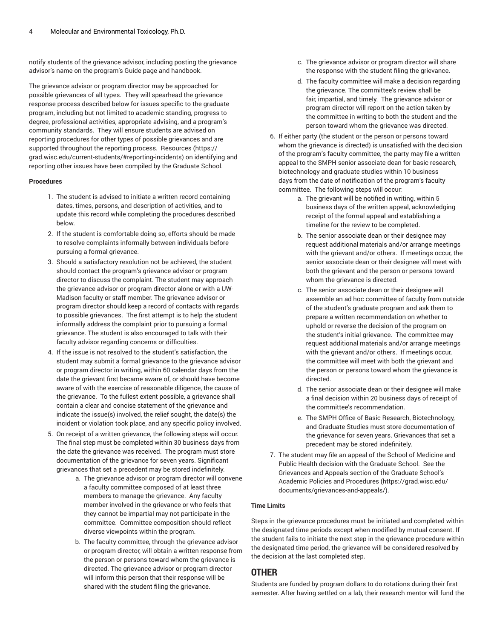notify students of the grievance advisor, including posting the grievance advisor's name on the program's Guide page and handbook.

The grievance advisor or program director may be approached for possible grievances of all types. They will spearhead the grievance response process described below for issues specific to the graduate program, including but not limited to academic standing, progress to degree, professional activities, appropriate advising, and a program's community standards. They will ensure students are advised on reporting procedures for other types of possible grievances and are supported throughout the reporting process. [Resources \(https://](https://grad.wisc.edu/current-students/#reporting-incidents) [grad.wisc.edu/current-students/#reporting-incidents](https://grad.wisc.edu/current-students/#reporting-incidents)) on identifying and reporting other issues have been compiled by the Graduate School.

#### **Procedures**

- 1. The student is advised to initiate a written record containing dates, times, persons, and description of activities, and to update this record while completing the procedures described below.
- 2. If the student is comfortable doing so, efforts should be made to resolve complaints informally between individuals before pursuing a formal grievance.
- 3. Should a satisfactory resolution not be achieved, the student should contact the program's grievance advisor or program director to discuss the complaint. The student may approach the grievance advisor or program director alone or with a UW-Madison faculty or staff member. The grievance advisor or program director should keep a record of contacts with regards to possible grievances. The first attempt is to help the student informally address the complaint prior to pursuing a formal grievance. The student is also encouraged to talk with their faculty advisor regarding concerns or difficulties.
- 4. If the issue is not resolved to the student's satisfaction, the student may submit a formal grievance to the grievance advisor or program director in writing, within 60 calendar days from the date the grievant first became aware of, or should have become aware of with the exercise of reasonable diligence, the cause of the grievance. To the fullest extent possible, a grievance shall contain a clear and concise statement of the grievance and indicate the issue(s) involved, the relief sought, the date(s) the incident or violation took place, and any specific policy involved.
- 5. On receipt of a written grievance, the following steps will occur. The final step must be completed within 30 business days from the date the grievance was received. The program must store documentation of the grievance for seven years. Significant grievances that set a precedent may be stored indefinitely.
	- a. The grievance advisor or program director will convene a faculty committee composed of at least three members to manage the grievance. Any faculty member involved in the grievance or who feels that they cannot be impartial may not participate in the committee. Committee composition should reflect diverse viewpoints within the program.
	- b. The faculty committee, through the grievance advisor or program director, will obtain a written response from the person or persons toward whom the grievance is directed. The grievance advisor or program director will inform this person that their response will be shared with the student filing the grievance.
- c. The grievance advisor or program director will share the response with the student filing the grievance.
- d. The faculty committee will make a decision regarding the grievance. The committee's review shall be fair, impartial, and timely. The grievance advisor or program director will report on the action taken by the committee in writing to both the student and the person toward whom the grievance was directed.
- 6. If either party (the student or the person or persons toward whom the grievance is directed) is unsatisfied with the decision of the program's faculty committee, the party may file a written appeal to the SMPH senior associate dean for basic research, biotechnology and graduate studies within 10 business days from the date of notification of the program's faculty committee. The following steps will occur:
	- a. The grievant will be notified in writing, within 5 business days of the written appeal, acknowledging receipt of the formal appeal and establishing a timeline for the review to be completed.
	- b. The senior associate dean or their designee may request additional materials and/or arrange meetings with the grievant and/or others. If meetings occur, the senior associate dean or their designee will meet with both the grievant and the person or persons toward whom the grievance is directed.
	- c. The senior associate dean or their designee will assemble an ad hoc committee of faculty from outside of the student's graduate program and ask them to prepare a written recommendation on whether to uphold or reverse the decision of the program on the student's initial grievance. The committee may request additional materials and/or arrange meetings with the grievant and/or others. If meetings occur, the committee will meet with both the grievant and the person or persons toward whom the grievance is directed.
	- d. The senior associate dean or their designee will make a final decision within 20 business days of receipt of the committee's recommendation.
	- e. The SMPH Office of Basic Research, Biotechnology, and Graduate Studies must store documentation of the grievance for seven years. Grievances that set a precedent may be stored indefinitely.
- 7. The student may file an appeal of the School of Medicine and Public Health decision with the Graduate School. See the [Grievances](https://grad.wisc.edu/documents/grievances-and-appeals/) and Appeals section of the Graduate School's Academic Policies and [Procedures](https://grad.wisc.edu/documents/grievances-and-appeals/) ([https://grad.wisc.edu/](https://grad.wisc.edu/documents/grievances-and-appeals/) [documents/grievances-and-appeals/\)](https://grad.wisc.edu/documents/grievances-and-appeals/).

#### **Time Limits**

Steps in the grievance procedures must be initiated and completed within the designated time periods except when modified by mutual consent. If the student fails to initiate the next step in the grievance procedure within the designated time period, the grievance will be considered resolved by the decision at the last completed step.

#### **OTHER**

Students are funded by program dollars to do rotations during their first semester. After having settled on a lab, their research mentor will fund the